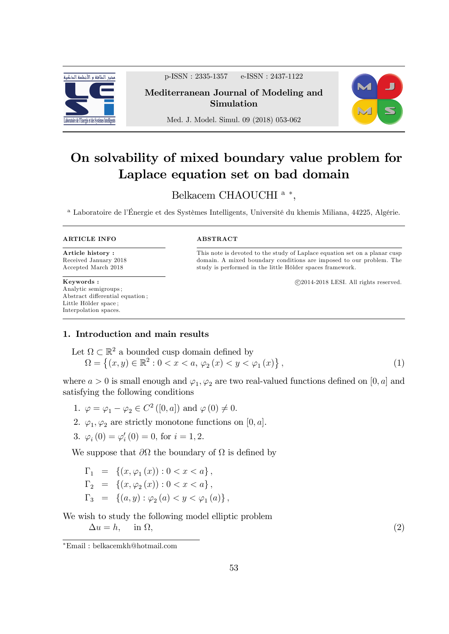

p-ISSN : 2335-1357 e-ISSN : 2437-1122

## Mediterranean Journal of Modeling and Simulation



Med. J. Model. Simul. 09 (2018) 053-062

# On solvability of mixed boundary value problem for Laplace equation set on bad domain

# Belkacem CHAOUCHI<sup>a</sup>\*,

<sup>a</sup> Laboratoire de l'Énergie et des Systèmes Intelligents, Université du khemis Miliana, 44225, Algérie.

#### ARTICLE INFO

Article history : Received January 2018 Accepted March 2018

Keywords : Analytic semigroups ; Abstract differential equation; Little Hölder space; Interpolation spaces.

#### ABSTRACT

This note is devoted to the study of Laplace equation set on a planar cusp domain. A mixed boundary conditions are imposed to our problem. The study is performed in the little Hölder spaces framework.

c 2014-2018 LESI. All rights reserved.

### 1. Introduction and main results

Let 
$$
\Omega \subset \mathbb{R}^2
$$
 a bounded cusp domain defined by  
\n
$$
\Omega = \{(x, y) \in \mathbb{R}^2 : 0 < x < a, \varphi_2(x) < y < \varphi_1(x)\},
$$
\n(1)

where  $a > 0$  is small enough and  $\varphi_1, \varphi_2$  are two real-valued functions defined on  $[0, a]$  and satisfying the following conditions

- 1.  $\varphi = \varphi_1 \varphi_2 \in C^2([0, a])$  and  $\varphi(0) \neq 0$ .
- 2.  $\varphi_1, \varphi_2$  are strictly monotone functions on [0, a].
- 3.  $\varphi_i(0) = \varphi'_i(0) = 0$ , for  $i = 1, 2$ .

We suppose that  $\partial\Omega$  the boundary of  $\Omega$  is defined by

$$
\Gamma_1 = \{ (x, \varphi_1(x)) : 0 < x < a \},\
$$
  
\n
$$
\Gamma_2 = \{ (x, \varphi_2(x)) : 0 < x < a \},\
$$
  
\n
$$
\Gamma_3 = \{ (a, y) : \varphi_2(a) < y < \varphi_1(a) \},\
$$

We wish to study the following model elliptic problem  $\Delta u = h$ , in  $\Omega$ ,  $,$  (2)

Email : belkacemkh@hotmail.com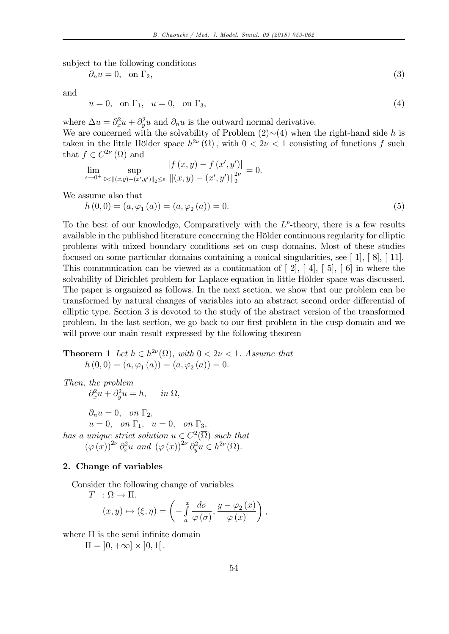subject to the following conditions

$$
\partial_n u = 0, \quad \text{on } \Gamma_2,\tag{3}
$$

and

$$
u = 0, \quad \text{on } \Gamma_1, \quad u = 0, \quad \text{on } \Gamma_3,\tag{4}
$$

where  $\Delta u = \partial_x^2 u + \partial_y^2 u$  and  $\partial_n u$  is the outward normal derivative.

We are concerned with the solvability of Problem  $(2)\sim(4)$  when the right-hand side h is taken in the little Hölder space  $h^{2\nu}(\Omega)$ , with  $0 < 2\nu < 1$  consisting of functions f such that  $f \in C^{2\nu}(\Omega)$  and

$$
\lim_{\varepsilon \to 0^+} \sup_{0 < \| (x,y) - (x',y') \|_2 \leq \varepsilon} \frac{|f(x,y) - f(x',y')|}{\|(x,y) - (x',y')\|_2^{2\nu}} = 0.
$$

We assume also that

$$
h(0,0) = (a, \varphi_1(a)) = (a, \varphi_2(a)) = 0.
$$
\n(5)

To the best of our knowledge, Comparatively with the  $L^p$ -theory, there is a few results available in the published literature concerning the Hölder continuous regularity for elliptic problems with mixed boundary conditions set on cusp domains. Most of these studies focused on some particular domains containing a conical singularities, see [ 1], [ 8], [ 11]. This communication can be viewed as a continuation of  $[2], [4], [5], [6]$  in where the solvability of Dirichlet problem for Laplace equation in little Hölder space was discussed. The paper is organized as follows. In the next section, we show that our problem can be transformed by natural changes of variables into an abstract second order differential of elliptic type. Section 3 is devoted to the study of the abstract version of the transformed problem. In the last section, we go back to our first problem in the cusp domain and we will prove our main result expressed by the following theorem

# **Theorem 1** Let  $h \in h^{2\nu}(\Omega)$ , with  $0 < 2\nu < 1$ . Assume that  $h(0,0) = (a, \varphi_1(a)) = (a, \varphi_2(a)) = 0.$

Then, the problem  $\partial_x^2 u + \partial_y^2 u = h, \quad in \ \Omega,$  $\partial_n u = 0$ , on  $\Gamma_2$ ,  $u = 0$ , on  $\Gamma_1$ ,  $u = 0$ , on  $\Gamma_3$ , has a unique strict solution  $u \in C^2(\overline{\Omega})$  such that  $(\varphi(x))^{2\nu} \partial_x^2 u$  and  $(\varphi(x))^{2\nu} \partial_y^2 u \in h^{2\nu}(\overline{\Omega}).$ 

### 2. Change of variables

Consider the following change of variables

$$
T : \Omega \to \Pi,
$$
  
\n
$$
(x, y) \mapsto (\xi, \eta) = \left(-\int_a^x \frac{d\sigma}{\varphi(\sigma)}, \frac{y - \varphi_2(x)}{\varphi(x)}\right),
$$

where  $\Pi$  is the semi infinite domain

 $\Pi = [0, +\infty] \times [0, 1].$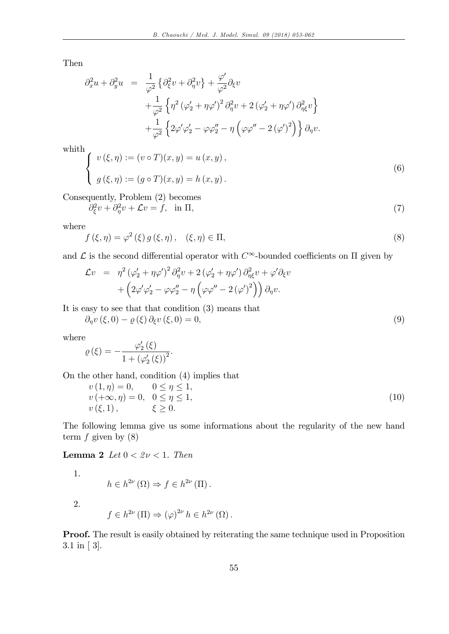Then

$$
\partial_x^2 u + \partial_y^2 u = \frac{1}{\varphi^2} \left\{ \partial_\xi^2 v + \partial_\eta^2 v \right\} + \frac{\varphi'}{\varphi^2} \partial_\xi v \n+ \frac{1}{\varphi^2} \left\{ \eta^2 \left( \varphi'_2 + \eta \varphi' \right)^2 \partial_\eta^2 v + 2 \left( \varphi'_2 + \eta \varphi' \right) \partial_{\eta \xi}^2 v \right\} \n+ \frac{1}{\varphi^2} \left\{ 2 \varphi' \varphi'_2 - \varphi \varphi''_2 - \eta \left( \varphi \varphi'' - 2 \left( \varphi' \right)^2 \right) \right\} \partial_\eta v.
$$

whith

$$
\begin{cases}\nv(\xi,\eta) := (v \circ T)(x,y) = u(x,y), \\
g(\xi,\eta) := (g \circ T)(x,y) = h(x,y).\n\end{cases}
$$
\n(6)

Consequently, Problem (2) becomes

$$
\partial_{\xi}^{2}v + \partial_{\eta}^{2}v + \mathcal{L}v = f, \quad \text{in } \Pi,
$$
\n<sup>(7)</sup>

where

$$
f(\xi,\eta) = \varphi^2(\xi) g(\xi,\eta), \quad (\xi,\eta) \in \Pi,
$$
\n(8)

and  $\mathcal L$  is the second differential operator with  $C^{\infty}$ -bounded coefficients on  $\Pi$  given by

$$
\mathcal{L}v = \eta^2 (\varphi_2' + \eta \varphi')^2 \partial_{\eta}^2 v + 2 (\varphi_2' + \eta \varphi') \partial_{\eta \xi}^2 v + \varphi' \partial_{\xi} v + \left(2 \varphi' \varphi_2' - \varphi \varphi_2'' - \eta \left(\varphi \varphi'' - 2 (\varphi')^2\right)\right) \partial_{\eta} v.
$$

It is easy to see that that condition (3) means that

$$
\partial_{\eta} v(\xi,0) - \varrho(\xi) \partial_{\xi} v(\xi,0) = 0, \tag{9}
$$

where

$$
\varrho\left(\xi\right)=-\frac{\varphi_{2}'\left(\xi\right)}{1+\left(\varphi_{2}'\left(\xi\right)\right)^{2}}.
$$

On the other hand, condition (4) implies that

$$
v(1, \eta) = 0, \quad 0 \le \eta \le 1,v(+\infty, \eta) = 0, \quad 0 \le \eta \le 1,v(\xi, 1), \quad \xi \ge 0.
$$
 (10)

The following lemma give us some informations about the regularity of the new hand term  $f$  given by  $(8)$ 

Lemma 2 Let  $0 < 2\nu < 1$ . Then

1.

$$
h\in h^{2\nu}\left(\Omega\right)\Rightarrow f\in h^{2\nu}\left(\Pi\right).
$$

2.

$$
f \in h^{2\nu}(\Pi) \Rightarrow (\varphi)^{2\nu} h \in h^{2\nu}(\Omega).
$$

Proof. The result is easily obtained by reiterating the same technique used in Proposition 3.1 in [ 3].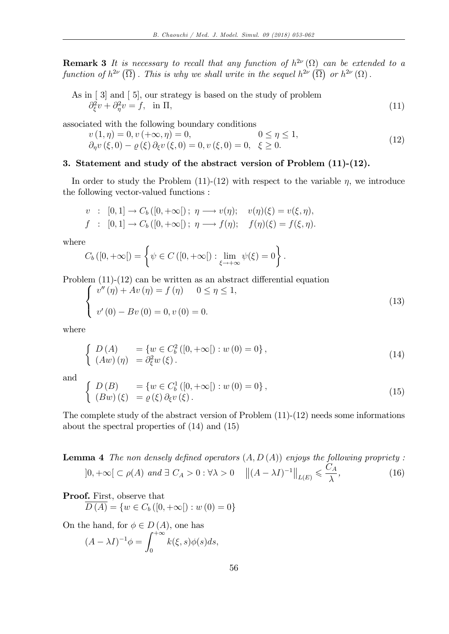**Remark 3** It is necessary to recall that any function of  $h^{2\nu}(\Omega)$  can be extended to a function of  $h^{2\nu}(\overline{\Omega})$ . This is why we shall write in the sequel  $h^{2\nu}(\overline{\Omega})$  or  $h^{2\nu}(\Omega)$ .

As in [3] and [5], our strategy is based on the study of problem  

$$
\partial_{\xi}^2 v + \partial_{\eta}^2 v = f, \text{ in } \Pi,
$$
 (11)

associated with the following boundary conditions

$$
v(1, \eta) = 0, v(+\infty, \eta) = 0, \qquad 0 \le \eta \le 1,\n\partial_{\eta} v(\xi, 0) - \varrho(\xi) \partial_{\xi} v(\xi, 0) = 0, v(\xi, 0) = 0, \quad \xi \ge 0.
$$
\n(12)

#### 3. Statement and study of the abstract version of Problem (11)-(12).

In order to study the Problem  $(11)-(12)$  with respect to the variable  $\eta$ , we introduce the following vector-valued functions :

$$
v : [0,1] \to C_b([0,+\infty[); \eta \longrightarrow v(\eta); \quad v(\eta)(\xi) = v(\xi, \eta), f : [0,1] \to C_b([0,+\infty[); \eta \longrightarrow f(\eta); \quad f(\eta)(\xi) = f(\xi, \eta).
$$

where

$$
C_b([0,+\infty[)=\left\{\psi\in C\left([0,+\infty[\right): \lim_{\xi\to+\infty}\psi(\xi)=0\right\}.
$$

Problem  $(11)-(12)$  can be written as an abstract differential equation

$$
\begin{cases}\n v''(\eta) + Av(\eta) = f(\eta) & 0 \le \eta \le 1, \\
 v'(0) - Bv(0) = 0, v(0) = 0.\n\end{cases}
$$
\n(13)

where

$$
\begin{cases}\nD(A) &= \{w \in C_b^2([0, +\infty[): w(0) = 0\}, \\
(Aw)(\eta) &= \partial_{\xi}^2 w(\xi).\n\end{cases}
$$
\n(14)

and

$$
\begin{cases}\nD(B) &= \{w \in C_b^1([0, +\infty[): w(0) = 0\}, \\
(Bw)(\xi) &= \rho(\xi)\,\partial_{\xi}v(\xi).\n\end{cases}
$$
\n(15)

The complete study of the abstract version of Problem (11)-(12) needs some informations about the spectral properties of (14) and (15)

**Lemma 4** The non densely defined operators  $(A, D(A))$  enjoys the following propriety :  $]0, +\infty[\subset \rho(A) \text{ and } \exists C_A > 0 : \forall \lambda > 0 \quad ||(A - \lambda I)^{-1}||_{L(E)} \leq$  $C_A$  $\lambda$  $(16)$ 

# Proof. First, observe that  $\overline{D(A)} = \{w \in C_b ([0, +\infty[): w(0) = 0\}$

On the hand, for  $\phi \in D(A)$ , one has

$$
(A - \lambda I)^{-1} \phi = \int_0^{+\infty} k(\xi, s) \phi(s) ds,
$$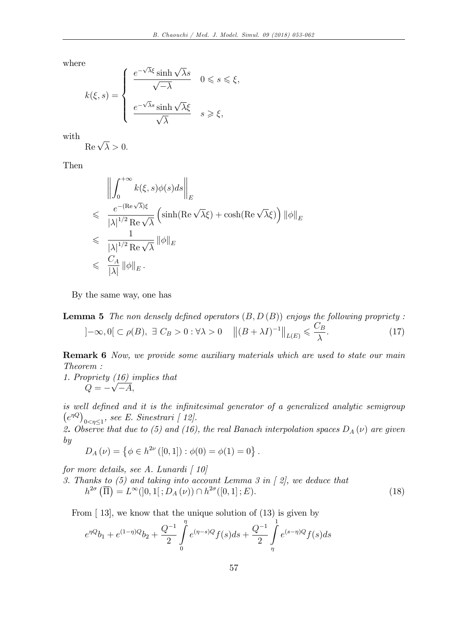where

$$
k(\xi, s) = \begin{cases} \frac{e^{-\sqrt{\lambda}\xi}\sinh\sqrt{\lambda}s}{\sqrt{-\lambda}} & 0 \leq s \leq \xi, \\ \frac{e^{-\sqrt{\lambda}s}\sinh\sqrt{\lambda}\xi}{\sqrt{\lambda}} & s \geq \xi, \end{cases}
$$

with

$$
\operatorname{Re}\sqrt{\lambda} > 0.
$$

Then

$$
\left\| \int_0^{+\infty} k(\xi, s) \phi(s) ds \right\|_E
$$
  
\n
$$
\leq \frac{e^{-(\text{Re }\sqrt{\lambda})\xi}}{|\lambda|^{1/2} \text{Re }\sqrt{\lambda}} \left( \sinh(\text{Re }\sqrt{\lambda}\xi) + \cosh(\text{Re }\sqrt{\lambda}\xi) \right) ||\phi||_E
$$
  
\n
$$
\leq \frac{1}{|\lambda|^{1/2} \text{Re }\sqrt{\lambda}} ||\phi||_E
$$
  
\n
$$
\leq \frac{C_A}{|\lambda|} ||\phi||_E.
$$

By the same way, one has

**Lemma 5** The non densely defined operators 
$$
(B, D (B))
$$
 enjoys the following property :  
 $]-\infty, 0[ \subset \rho(B), \exists C_B > 0 : \forall \lambda > 0 \quad ||(B + \lambda I)^{-1}||_{L(E)} \leq \frac{C_B}{\lambda}.$  (17)

**Remark 6** Now, we provide some auxiliary materials which are used to state our main Theorem :

1. Propriety (16) implies that  $Q = -\sqrt{-A}$ 

is well defined and it is the infinitesimal generator of a generalized analytic semigroup  $(e^{\eta Q})$  $_{0<\eta\leq 1}$ , see E. Sinestrari [12].

2. Observe that due to (5) and (16), the real Banach interpolation spaces  $D_A(\nu)$  are given by

$$
D_A(\nu) = \{ \phi \in h^{2\nu} ([0,1]) : \phi(0) = \phi(1) = 0 \}.
$$

for more details, see A. Lunardi  $\int 10$ 

3. Thanks to (5) and taking into account Lemma 3 in [ 2], we deduce that  $h^{2\sigma}(\overline{\Pi}) = L^{\infty}(]0,1[;D_A(\nu)) \cap h^{2\sigma}([0,1];E).$  (18)

From [ 13], we know that the unique solution of (13) is given by

$$
e^{\eta Q}b_1 + e^{(1-\eta)Q}b_2 + \frac{Q^{-1}}{2} \int\limits_0^{\eta} e^{(\eta-s)Q} f(s)ds + \frac{Q^{-1}}{2} \int\limits_{\eta}^1 e^{(s-\eta)Q} f(s)ds
$$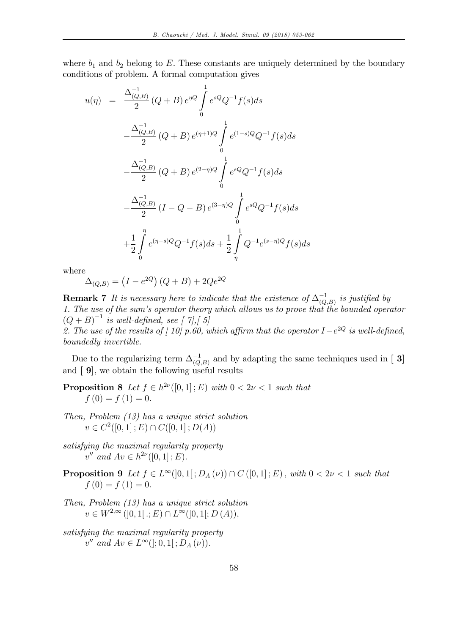where  $b_1$  and  $b_2$  belong to E. These constants are uniquely determined by the boundary conditions of problem. A formal computation gives

$$
u(\eta) = \frac{\Delta_{(Q,B)}^{-1}}{2} (Q+B) e^{\eta Q} \int_{0}^{1} e^{sQ} Q^{-1} f(s) ds
$$
  

$$
-\frac{\Delta_{(Q,B)}^{-1}}{2} (Q+B) e^{(\eta+1)Q} \int_{0}^{1} e^{(1-s)Q} Q^{-1} f(s) ds
$$
  

$$
-\frac{\Delta_{(Q,B)}^{-1}}{2} (Q+B) e^{(2-\eta)Q} \int_{0}^{1} e^{sQ} Q^{-1} f(s) ds
$$
  

$$
-\frac{\Delta_{(Q,B)}^{-1}}{2} (I-Q-B) e^{(3-\eta)Q} \int_{0}^{1} e^{sQ} Q^{-1} f(s) ds
$$
  

$$
+\frac{1}{2} \int_{0}^{\eta} e^{(\eta-s)Q} Q^{-1} f(s) ds + \frac{1}{2} \int_{\eta}^{1} Q^{-1} e^{(s-\eta)Q} f(s) ds
$$

where

$$
\Delta_{(Q,B)} = (I - e^{2Q})(Q + B) + 2Qe^{2Q}
$$

**Remark 7** It is necessary here to indicate that the existence of  $\Delta_{(Q,B)}^{-1}$  is justified by 1. The use of the sum's operator theory which allows us to prove that the bounded operator  $(Q + B)^{-1}$  is well-defined, see [ 7], [ 5]

2. The use of the results of  $[10]$  p.60, which affirm that the operator  $I-e^{2Q}$  is well-defined, boundedly invertible.

Due to the regularizing term  $\Delta_{(Q,B)}^{-1}$  and by adapting the same techniques used in [ 3] and [ 9], we obtain the following useful results

**Proposition 8** Let  $f \in h^{2\nu}([0,1];E)$  with  $0 < 2\nu < 1$  such that  $f(0) = f(1) = 0.$ 

- Then, Problem (13) has a unique strict solution  $v \in C^2([0, 1]; E) \cap C([0, 1]; D(A))$
- satisfying the maximal regularity property  $v''$  and  $Av \in h^{2\nu}([0,1];E)$ .
- **Proposition 9** Let  $f \in L^{\infty}(]0,1[$ ;  $D_A(\nu)$ )  $\cap$   $C([0,1];E)$ , with  $0 < 2\nu < 1$  such that  $f(0) = f(1) = 0.$
- Then, Problem (13) has a unique strict solution  $v \in W^{2,\infty}([0,1[.;E) \cap L^{\infty}([0,1[;D(A))),$
- satisfying the maximal regularity property  $v''$  and  $Av \in L^{\infty}(|; 0, 1|; D_A(\nu)).$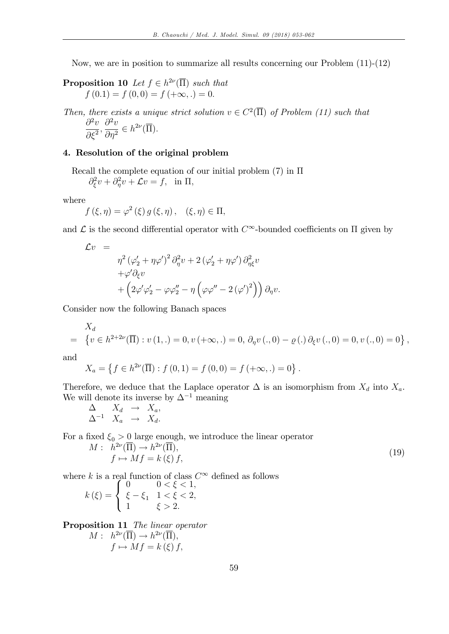Now, we are in position to summarize all results concerning our Problem (11)-(12)

**Proposition 10** Let  $f \in h^{2\nu}(\overline{\Pi})$  such that  $f(0.1) = f(0,0) = f(+\infty, .) = 0.$ 

Then, there exists a unique strict solution  $v \in C^2(\overline{\Pi})$  of Problem (11) such that

$$
\frac{\partial^2 v}{\partial \xi^2}, \frac{\partial^2 v}{\partial \eta^2} \in h^{2\nu}(\overline{\Pi}).
$$

### 4. Resolution of the original problem

Recall the complete equation of our initial problem  $(7)$  in  $\Pi$  $\partial_{\xi}^2 v + \partial_{\eta}^2 v + \mathcal{L}v = f$ , in  $\Pi$ ,

where

$$
f(\xi, \eta) = \varphi^2(\xi) g(\xi, \eta), \quad (\xi, \eta) \in \Pi,
$$

and  $\mathcal L$  is the second differential operator with  $C^{\infty}$ -bounded coefficients on  $\Pi$  given by

$$
\mathcal{L}v = \eta^2 (\varphi_2' + \eta \varphi')^2 \partial_{\eta}^2 v + 2 (\varphi_2' + \eta \varphi') \partial_{\eta \xi}^2 v \n+ \varphi' \partial_{\xi} v \n+ (2\varphi' \varphi_2' - \varphi \varphi_2'' - \eta (\varphi \varphi'' - 2 (\varphi')^2)) \partial_{\eta} v.
$$

Consider now the following Banach spaces

$$
X_d = \{ v \in h^{2+2\nu}(\overline{\Pi}) : v(1,.) = 0, v(+\infty,.) = 0, \partial_\eta v(.,0) - \varrho(.) \partial_\xi v(.,0) = 0, v(.,0) = 0 \},
$$

and

$$
X_a = \left\{ f \in h^{2\nu}(\overline{\Pi}) : f(0,1) = f(0,0) = f(+\infty,.) = 0 \right\}.
$$

Therefore, we deduce that the Laplace operator  $\Delta$  is an isomorphism from  $X_d$  into  $X_a$ . We will denote its inverse by  $\Delta^{-1}$  meaning

$$
\Delta \quad X_d \rightarrow X_a, \n\Delta^{-1} \quad X_a \rightarrow X_d.
$$

For a fixed  $\xi_0 > 0$  large enough, we introduce the linear operator

$$
M: h^{2\nu}(\overline{\Pi}) \to h^{2\nu}(\overline{\Pi}),f \mapsto Mf = k(\xi) f,
$$
\n(19)

where k is a real function of class  $C^{\infty}$  defined as follows<br>  $\begin{cases} 0 & 0 < \xi < 1, \end{cases}$ 

$$
k(\xi) = \begin{cases} 0 & 0 < \xi < 1, \\ \xi - \xi_1 & 1 < \xi < 2, \\ 1 & \xi > 2. \end{cases}
$$

Proposition 11 The linear operator

$$
M: h^{2\nu}(\overline{\Pi}) \to h^{2\nu}(\overline{\Pi}),
$$
  

$$
f \mapsto Mf = k(\xi) f,
$$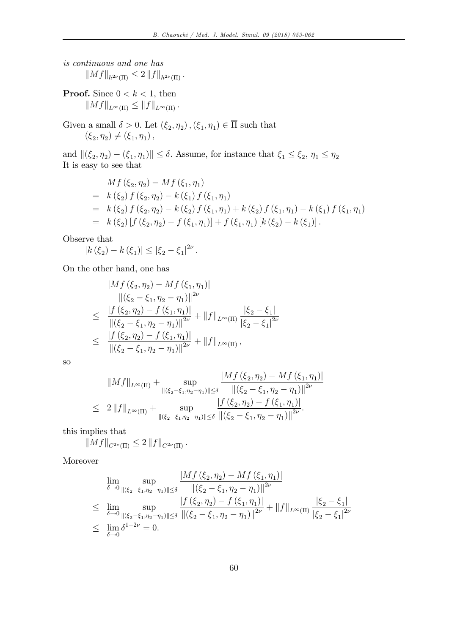is continuous and one has  $||Mf||_{h^{2\nu}(\overline{\Pi})} \leq 2 ||f||_{h^{2\nu}(\overline{\Pi})}.$ 

**Proof.** Since  $0 < k < 1$ , then  $||Mf||_{L^{\infty}(\Pi)} \leq ||f||_{L^{\infty}(\Pi)}.$ 

Given a small  $\delta > 0$ . Let  $(\xi_2, \eta_2)$ ,  $(\xi_1, \eta_1) \in \Pi$  such that  $(\xi_2, \eta_2) \neq (\xi_1, \eta_1),$ 

and  $\|(\xi_2, \eta_2) - (\xi_1, \eta_1)\| \le \delta$ . Assume, for instance that  $\xi_1 \le \xi_2$ ,  $\eta_1 \le \eta_2$ It is easy to see that

$$
Mf(\xi_2, \eta_2) - Mf(\xi_1, \eta_1)
$$
  
=  $k(\xi_2) f(\xi_2, \eta_2) - k(\xi_1) f(\xi_1, \eta_1)$   
=  $k(\xi_2) f(\xi_2, \eta_2) - k(\xi_2) f(\xi_1, \eta_1) + k(\xi_2) f(\xi_1, \eta_1) - k(\xi_1) f(\xi_1, \eta_1)$   
=  $k(\xi_2) [f(\xi_2, \eta_2) - f(\xi_1, \eta_1)] + f(\xi_1, \eta_1) [k(\xi_2) - k(\xi_1)].$ 

Observe that

$$
|k(\xi_2) - k(\xi_1)| \leq |\xi_2 - \xi_1|^{2\nu}.
$$

On the other hand, one has

$$
\frac{|Mf(\xi_2, \eta_2) - Mf(\xi_1, \eta_1)|}{\|(\xi_2 - \xi_1, \eta_2 - \eta_1)\|^{2\nu}}
$$
\n
$$
\leq \frac{|f(\xi_2, \eta_2) - f(\xi_1, \eta_1)|}{\|(\xi_2 - \xi_1, \eta_2 - \eta_1)\|^{2\nu}} + \|f\|_{L^{\infty}(\Pi)} \frac{|\xi_2 - \xi_1|}{|\xi_2 - \xi_1|^{2\nu}}
$$
\n
$$
\leq \frac{|f(\xi_2, \eta_2) - f(\xi_1, \eta_1)|}{\|(\xi_2 - \xi_1, \eta_2 - \eta_1)\|^{2\nu}} + \|f\|_{L^{\infty}(\Pi)},
$$

so

$$
||Mf||_{L^{\infty}(\Pi)} + \sup_{\|(\xi_2 - \xi_1, \eta_2 - \eta_1)\| \le \delta} \frac{|Mf(\xi_2, \eta_2) - Mf(\xi_1, \eta_1)|}{\|(\xi_2 - \xi_1, \eta_2 - \eta_1)\|^{2\nu}}
$$
  
\n
$$
\leq 2||f||_{L^{\infty}(\Pi)} + \sup_{\|(\xi_2 - \xi_1, \eta_2 - \eta_1)\| \le \delta} \frac{|f(\xi_2, \eta_2) - f(\xi_1, \eta_1)|}{\|(\xi_2 - \xi_1, \eta_2 - \eta_1)\|^{2\nu}}.
$$

this implies that

$$
||Mf||_{C^{2\nu}(\overline{\Pi})} \leq 2 ||f||_{C^{2\nu}(\overline{\Pi})}.
$$

Moreover

$$
\lim_{\delta \to 0} \sup_{\|(\xi_2 - \xi_1, \eta_2 - \eta_1)\| \le \delta} \frac{|Mf(\xi_2, \eta_2) - Mf(\xi_1, \eta_1)|}{\|(\xi_2 - \xi_1, \eta_2 - \eta_1)\|^{2\nu}}
$$
\n
$$
\leq \lim_{\delta \to 0} \sup_{\|(\xi_2 - \xi_1, \eta_2 - \eta_1)\| \le \delta} \frac{|f(\xi_2, \eta_2) - f(\xi_1, \eta_1)|}{\|(\xi_2 - \xi_1, \eta_2 - \eta_1)\|^{2\nu}} + \|f\|_{L^{\infty}(\Pi)} \frac{|\xi_2 - \xi_1|}{|\xi_2 - \xi_1|^{2\nu}}
$$
\n
$$
\leq \lim_{\delta \to 0} \delta^{1 - 2\nu} = 0.
$$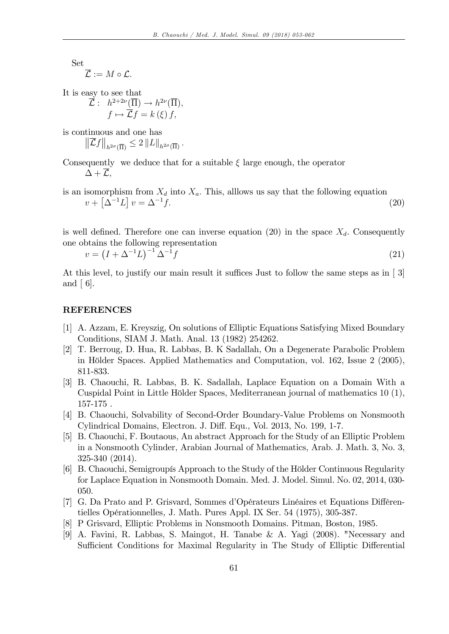Set

$$
\overline{\mathcal{L}}:=M\circ\mathcal{L}.
$$

It is easy to see that

$$
\overline{\mathcal{L}}: h^{2+2\nu}(\overline{\Pi}) \to h^{2\nu}(\overline{\Pi}),
$$

$$
f \mapsto \overline{\mathcal{L}}f = k(\xi) f,
$$

is continuous and one has

 $\|\overline{\mathcal{L}}f\|_{h^{2\sigma}(\overline{\Pi})} \leq 2 \, \|L\|_{h^{2\sigma}(\overline{\Pi})}$ .

Consequently we deduce that for a suitable  $\xi$  large enough, the operator  $\Delta + \mathcal{L},$ 

is an isomorphism from  $X_d$  into  $X_a$ . This, allows us say that the following equation  $v + \left[\Delta^{-1}L\right]v = \Delta^{-1}$  $f.$  (20)

is well defined. Therefore one can inverse equation (20) in the space  $X_d$ . Consequently one obtains the following representation

$$
v = (I + \Delta^{-1}L)^{-1} \Delta^{-1}f \tag{21}
$$

At this level, to justify our main result it suffices Just to follow the same steps as in  $\lceil 3 \rceil$ and  $\lceil 6 \rceil$ .

#### REFERENCES

- [1] A. Azzam, E. Kreyszig, On solutions of Elliptic Equations Satisfying Mixed Boundary Conditions, SIAM J. Math. Anal. 13 (1982) 254262.
- [2] T. Berroug, D. Hua, R. Labbas, B. K Sadallah, On a Degenerate Parabolic Problem in Hölder Spaces. Applied Mathematics and Computation, vol. 162, Issue 2 (2005), 811-833.
- [3] B. Chaouchi, R. Labbas, B. K. Sadallah, Laplace Equation on a Domain With a Cuspidal Point in Little Hölder Spaces, Mediterranean journal of mathematics 10 (1), 157-175 .
- [4] B. Chaouchi, Solvability of Second-Order Boundary-Value Problems on Nonsmooth Cylindrical Domains, Electron. J. Diff. Equ., Vol. 2013, No. 199, 1-7.
- [5] B. Chaouchi, F. Boutaous, An abstract Approach for the Study of an Elliptic Problem in a Nonsmooth Cylinder, Arabian Journal of Mathematics, Arab. J. Math. 3, No. 3, 325-340 (2014).
- [6] B. Chaouchi, Semigroupis Approach to the Study of the Hölder Continuous Regularity for Laplace Equation in Nonsmooth Domain. Med. J. Model. Simul. No. 02, 2014, 030- 050.
- [7] G. Da Prato and P. Grisvard, Sommes d'Opérateurs Linéaires et Equations Différentielles Opérationnelles, J. Math. Pures Appl. IX Ser. 54 (1975), 305-387.
- [8] P Grisvard, Elliptic Problems in Nonsmooth Domains. Pitman, Boston, 1985.
- [9] A. Favini, R. Labbas, S. Maingot, H. Tanabe & A. Yagi (2008). "Necessary and Sufficient Conditions for Maximal Regularity in The Study of Elliptic Differential